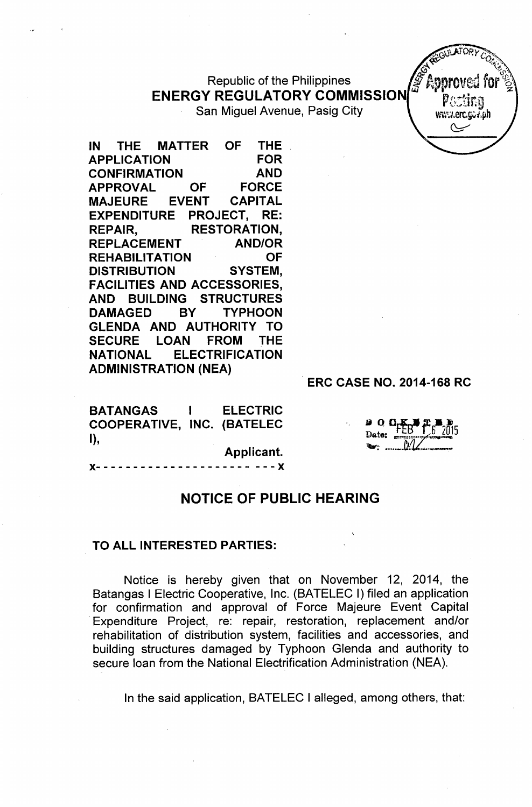## Republic of the Philippines **ENERGY REGULATORY COMMISSION**

San Miguel Avenue, Pasig City Virtues Virtualisation

IN THE MATTER OF THE APPLICATION FOR CONFIRMATION AND APPROVAL OF FORCE MAJEURE EVENT CAPITAL EXPENDITURE PROJECT, RE: REPAIR, RESTORATION, REPLACEMENT AND/OR REHABILITATION OF DISTRIBUTION SYSTEM, FACILITIES AND ACCESSORIES, AND BUILDING STRUCTURES DAMAGED BY TYPHOON GLENDA AND AUTHORITY TO SECURE LOAN FROM THE NATIONAL ELECTRIFICATION ADMINISTRATION (NEA)

. ERC CASE NO. 2014-168 RC

*~.{';}'JVJORyco .* **RECOVERED PROPERTY**  $\mathbb{C}^{\mathbf{R}^{\vee}}$ 

 $\mathsf C$ 

ר.<br>מחל

| <b>BATANGAS</b>            | <b>ELECTRIC</b> |
|----------------------------|-----------------|
| COOPERATIVE, INC. (BATELEC |                 |
| I),                        |                 |

Applicant.

)(- - - - - - - - - - - - - - - - - - - - - - - - )(

## NOTICE OF PUBLIC HEARING

## TO ALL INTERESTED PARTIES:

Notice is hereby given that on November 12, 2014, the Batangas I Electric Cooperative, Inc. (BATELEC I) filed an application for confirmation and approval of Force Majeure Event Capital .Expenditure Project, re: repair, restoration, replacement and/or rehabilitation of distribution system, facilities and accessories, and building structures damaged by Typhoon Glenda and authority to secure loan from the National Electrification Administration (NEA).

In the said application, BATELEC I alleged, among others, that: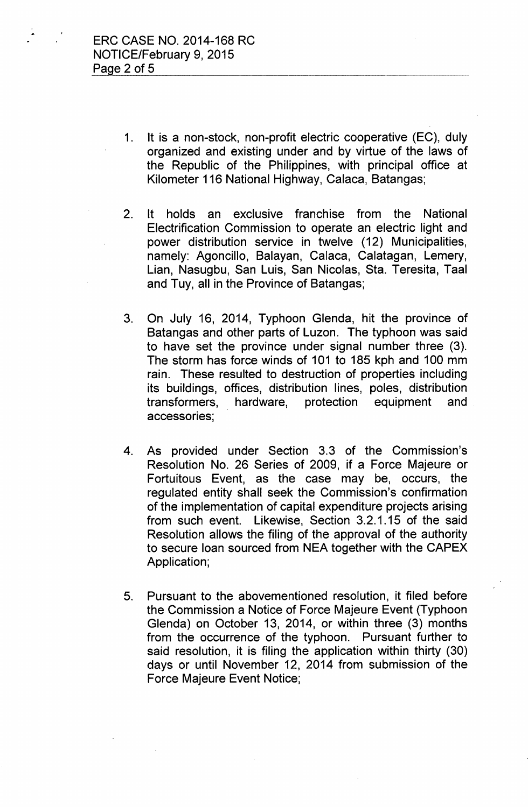- 1. It is a non-stock, non-profit electric cooperative (EC), duly organized and existing under and by virtue of the laws of the Republic of the Philippines, with principal office at Kilometer 116 National Highway, Calaca, Batangas;
- 2. It holds an exclusive franchise from the National Electrification Commission to operate an electric light and power distribution service in twelve (12) Municipalities, namely: Agoncillo, Balayan, Calaca, Calatagan, Lemery, Lian, Nasugbu, San Luis, San Nicolas, Sta. Teresita, Taal and Tuy, all in the Province of Batangas;
- 3. On July 16, 2014, Typhoon Glenda, hit the province of Batangas and other parts of Luzon. The typhoon was said to have set the province under signal number three (3). The storm has force winds of 101 to 185 kph and 100 mm rain. These resulted to destruction of properties including its buildings, offices, distribution lines, poles, distribution transformers, hardware, protection equipment and accessories;
- 4. As provided under Section 3.3 of the Commission's Resolution No. 26 Series of 2009, if a Force Majeure or Fortuitous Event, as the case may be, occurs, the regulated entity shall seek the Commission's confirmation of the implementation of capital expenditure projects arising from such event. Likewise, Section 3.2.1.15 of the said Resolution allows the filing of the approval of the authority to secure loan sourced from NEA together with the CAPEX Application;
- 5. Pursuant to the abovementioned resolution, it filed before the Commission a Notice of Force Majeure Event (Typhoon Glenda) on October 13, 2014, or within three (3) months from the occurrence of the typhoon. Pursuant further to said resolution, it is filing the application within thirty (30) days or until November 12, 2014 from submission of the Force Majeure Event Notice;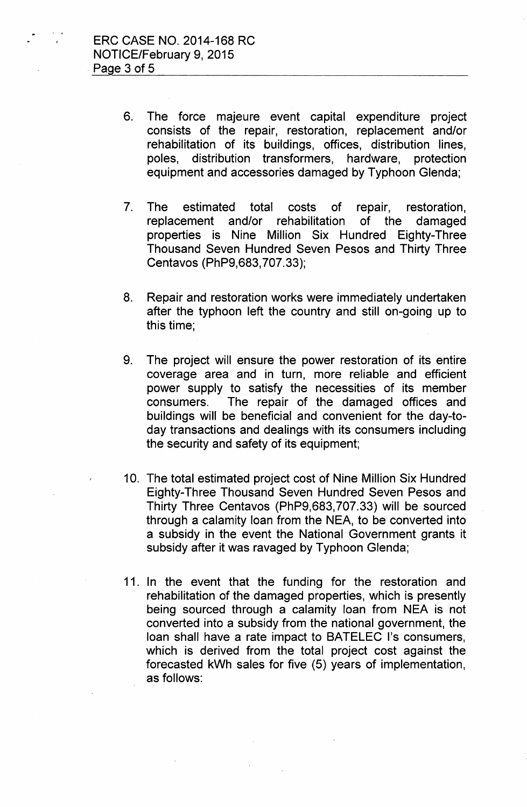- 6. The force majeure event capital expenditure project consists of the repair, restoration, replacement and/or rehabilitation of its buildings, offices, distribution lines, poles, distribution transformers, hardware, protection equipment and accessories damaged by Typhoon Glenda;
- 7. The estimated total costs of repair, restoration, replacement and/or rehabilitation of the damaged properties is Nine Million Six Hundred Eighty-Three Thousand Seven Hundred Seven Pesos and Thirty Three Centavos (PhP9,683,707.33);
- 8. Repair and restoration works were immediately undertaken after the typhoon left the country and still on-going up to this time;
- 9. The project will ensure the power restoration of its entire coverage area and in turn, more reliable and efficient power supply to satisfy the necessities of its member consumers. The repair of the damaged offices and buildings will be beneficial and convenient for the day-today transactions and dealings with its consumers including the security and safety of its equipment;
- 10. The total estimated project cost of Nine Million Six Hundred Eighty-Three Thousand Seven Hundred Seven Pesos and Thirty Three Centavos (PhP9,683,707.33) will be sourced through a calamity loan from the NEA, to be converted into a subsidy in the event the National Government grants it subsidy after it was ravaged by Typhoon Glenda;
- 11. In the event that the funding for the restoration and rehabilitation of the damaged properties, which is presently being sourced through a calamity loan from NEA is not converted into a subsidy from the national government, the loan shall have a rate impact to BATELEC l's consumers, which is derived from the total project cost against the forecasted kWh sales for five (5) years of implementation, as follows: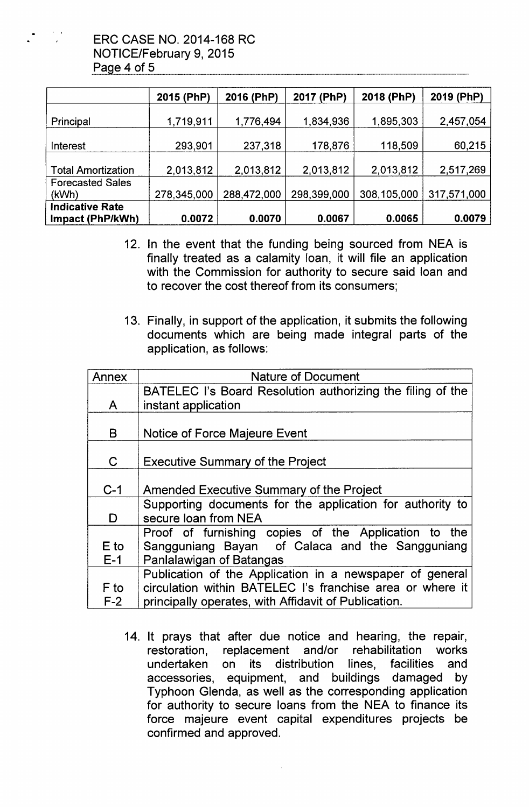

|                                            | 2015 (PhP)  | 2016 (PhP)  | 2017 (PhP)  | 2018 (PhP)  | 2019 (PhP)  |
|--------------------------------------------|-------------|-------------|-------------|-------------|-------------|
| Principal                                  | 1,719,911   | 1,776,494   | 1,834,936   | 1,895,303   | 2,457,054   |
| Interest                                   | 293,901     | 237,318     | 178,876     | 118,509     | 60,215      |
| <b>Total Amortization</b>                  | 2,013,812   | 2,013,812   | 2,013,812   | 2,013,812   | 2,517,269   |
| <b>Forecasted Sales</b><br>(kWh)           | 278,345,000 | 288,472,000 | 298,399,000 | 308,105,000 | 317,571,000 |
| <b>Indicative Rate</b><br>Impact (PhP/kWh) | 0.0072      | 0.0070      | 0.0067      | 0.0065      | 0.0079      |

- 12. In the event that the funding being sourced from NEA is finally treated as a calamity loan, it will file an application with the Commission for authority to secure said loan and to recover the cost thereof from its consumers;
- 13. Finally, in support of the application, it submits the following documents which are being made integral parts of the application, as follows:

| Annex        | <b>Nature of Document</b>                                  |
|--------------|------------------------------------------------------------|
|              | BATELEC I's Board Resolution authorizing the filing of the |
| $\mathsf{A}$ | instant application                                        |
|              |                                                            |
| B            | Notice of Force Majeure Event                              |
|              |                                                            |
| $\mathbf C$  | <b>Executive Summary of the Project</b>                    |
|              |                                                            |
| $C-1$        | Amended Executive Summary of the Project                   |
|              | Supporting documents for the application for authority to  |
| D            | secure loan from NEA                                       |
|              | Proof of furnishing copies of the Application to the       |
| E to         | Sangguniang Bayan of Calaca and the Sangguniang            |
| $E-1$        | Panlalawigan of Batangas                                   |
|              | Publication of the Application in a newspaper of general   |
| F to         | circulation within BATELEC I's franchise area or where it  |
| $F-2$        | principally operates, with Affidavit of Publication.       |

14. It prays that after due notice and hearing, the repair, restoration, replacement and/or rehabilitation works undertaken on its distribution lines, facilities and accessories, equipment, and buildings damaged by Typhoon Glenda, as well as the corresponding application for authority to secure loans from the NEA to finance its force majeure event capital expenditures projects be confirmed and approved.